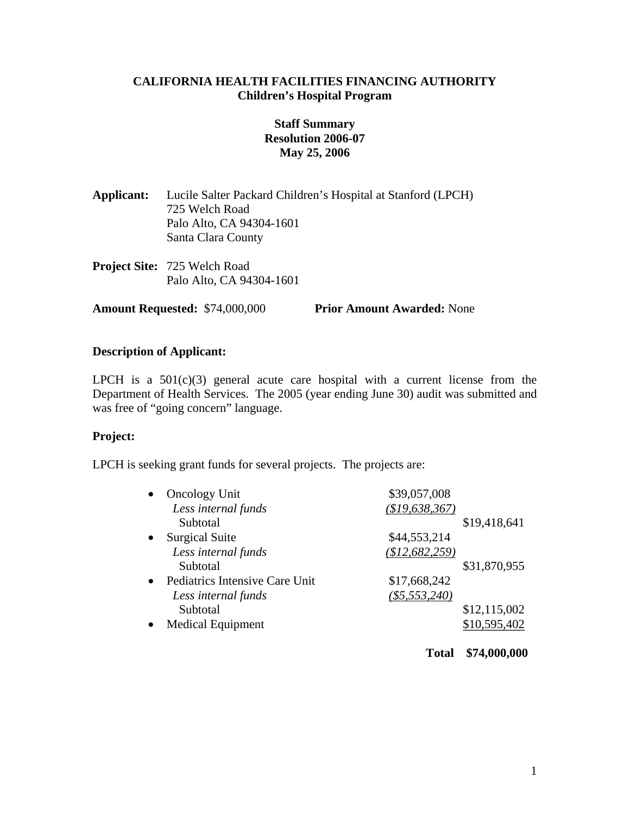## **CALIFORNIA HEALTH FACILITIES FINANCING AUTHORITY Children's Hospital Program**

# **Staff Summary Resolution 2006-07 May 25, 2006**

| Applicant: | Lucile Salter Packard Children's Hospital at Stanford (LPCH) |
|------------|--------------------------------------------------------------|
|            | 725 Welch Road                                               |
|            | Palo Alto, CA 94304-1601                                     |
|            | Santa Clara County                                           |
|            |                                                              |

**Project Site:** 725 Welch Road Palo Alto, CA 94304-1601

**Amount Requested:** \$74,000,000 **Prior Amount Awarded:** None

# **Description of Applicant:**

LPCH is a  $501(c)(3)$  general acute care hospital with a current license from the Department of Health Services. The 2005 (year ending June 30) audit was submitted and was free of "going concern" language.

# **Project:**

LPCH is seeking grant funds for several projects. The projects are:

| <b>Oncology Unit</b>           | \$39,057,008    |              |
|--------------------------------|-----------------|--------------|
| Less internal funds            | (\$19,638,367)  |              |
| Subtotal                       |                 | \$19,418,641 |
| <b>Surgical Suite</b>          | \$44,553,214    |              |
| Less internal funds            | (\$12,682,259)  |              |
| Subtotal                       |                 | \$31,870,955 |
| Pediatrics Intensive Care Unit | \$17,668,242    |              |
| Less internal funds            | $(\$5,553,240)$ |              |
| Subtotal                       |                 | \$12,115,002 |
| <b>Medical Equipment</b>       |                 | \$10,595,402 |

**Total \$74,000,000**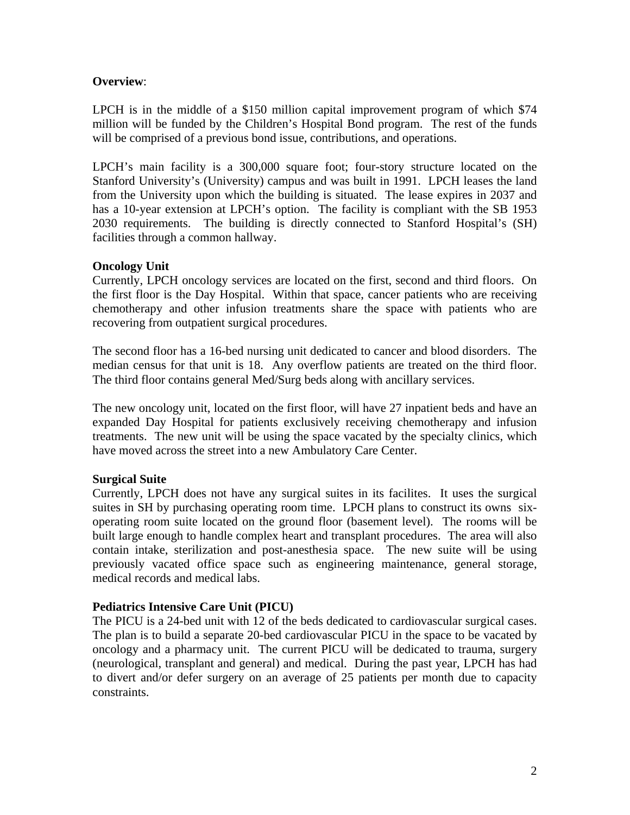## **Overview**:

LPCH is in the middle of a \$150 million capital improvement program of which \$74 million will be funded by the Children's Hospital Bond program. The rest of the funds will be comprised of a previous bond issue, contributions, and operations.

LPCH's main facility is a 300,000 square foot; four-story structure located on the Stanford University's (University) campus and was built in 1991. LPCH leases the land from the University upon which the building is situated. The lease expires in 2037 and has a 10-year extension at LPCH's option. The facility is compliant with the SB 1953 2030 requirements. The building is directly connected to Stanford Hospital's (SH) facilities through a common hallway.

## **Oncology Unit**

Currently, LPCH oncology services are located on the first, second and third floors. On the first floor is the Day Hospital. Within that space, cancer patients who are receiving chemotherapy and other infusion treatments share the space with patients who are recovering from outpatient surgical procedures.

The second floor has a 16-bed nursing unit dedicated to cancer and blood disorders. The median census for that unit is 18. Any overflow patients are treated on the third floor. The third floor contains general Med/Surg beds along with ancillary services.

The new oncology unit, located on the first floor, will have 27 inpatient beds and have an expanded Day Hospital for patients exclusively receiving chemotherapy and infusion treatments. The new unit will be using the space vacated by the specialty clinics, which have moved across the street into a new Ambulatory Care Center.

### **Surgical Suite**

Currently, LPCH does not have any surgical suites in its facilites. It uses the surgical suites in SH by purchasing operating room time. LPCH plans to construct its owns sixoperating room suite located on the ground floor (basement level). The rooms will be built large enough to handle complex heart and transplant procedures. The area will also contain intake, sterilization and post-anesthesia space. The new suite will be using previously vacated office space such as engineering maintenance, general storage, medical records and medical labs.

### **Pediatrics Intensive Care Unit (PICU)**

The PICU is a 24-bed unit with 12 of the beds dedicated to cardiovascular surgical cases. The plan is to build a separate 20-bed cardiovascular PICU in the space to be vacated by oncology and a pharmacy unit. The current PICU will be dedicated to trauma, surgery (neurological, transplant and general) and medical. During the past year, LPCH has had to divert and/or defer surgery on an average of 25 patients per month due to capacity constraints.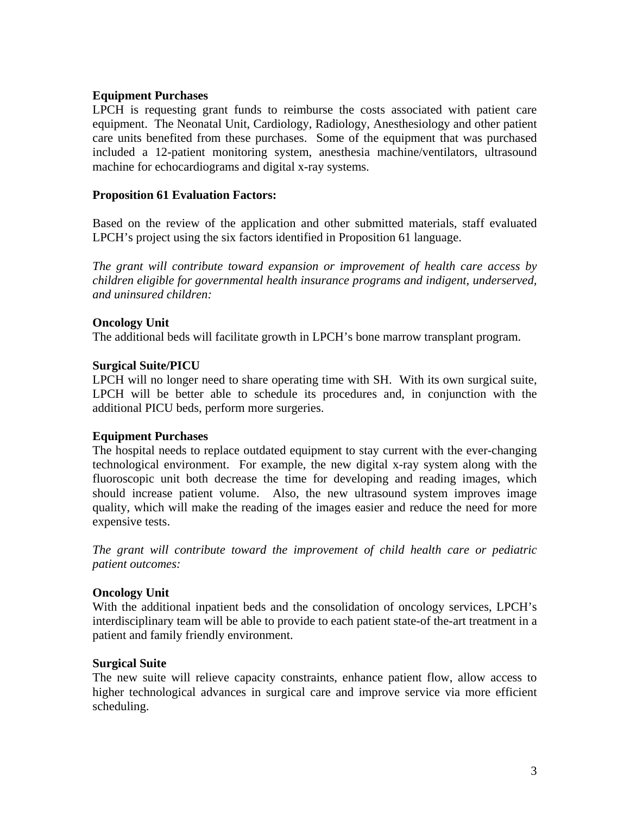### **Equipment Purchases**

LPCH is requesting grant funds to reimburse the costs associated with patient care equipment. The Neonatal Unit, Cardiology, Radiology, Anesthesiology and other patient care units benefited from these purchases. Some of the equipment that was purchased included a 12-patient monitoring system, anesthesia machine/ventilators, ultrasound machine for echocardiograms and digital x-ray systems.

### **Proposition 61 Evaluation Factors:**

Based on the review of the application and other submitted materials, staff evaluated LPCH's project using the six factors identified in Proposition 61 language.

*The grant will contribute toward expansion or improvement of health care access by children eligible for governmental health insurance programs and indigent, underserved, and uninsured children:* 

## **Oncology Unit**

The additional beds will facilitate growth in LPCH's bone marrow transplant program.

## **Surgical Suite/PICU**

LPCH will no longer need to share operating time with SH. With its own surgical suite, LPCH will be better able to schedule its procedures and, in conjunction with the additional PICU beds, perform more surgeries.

### **Equipment Purchases**

The hospital needs to replace outdated equipment to stay current with the ever-changing technological environment. For example, the new digital x-ray system along with the fluoroscopic unit both decrease the time for developing and reading images, which should increase patient volume. Also, the new ultrasound system improves image quality, which will make the reading of the images easier and reduce the need for more expensive tests.

*The grant will contribute toward the improvement of child health care or pediatric patient outcomes:* 

# **Oncology Unit**

With the additional inpatient beds and the consolidation of oncology services, LPCH's interdisciplinary team will be able to provide to each patient state-of the-art treatment in a patient and family friendly environment.

### **Surgical Suite**

The new suite will relieve capacity constraints, enhance patient flow, allow access to higher technological advances in surgical care and improve service via more efficient scheduling.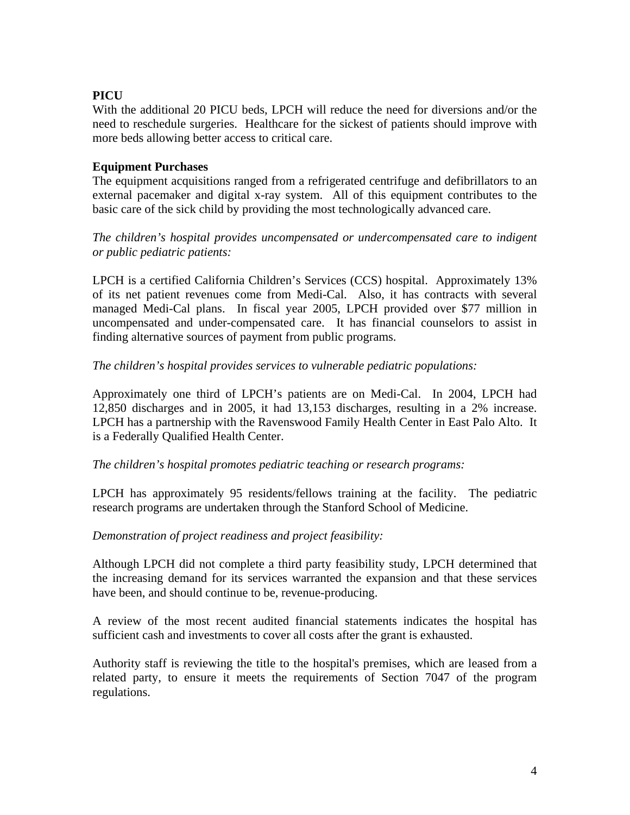# **PICU**

With the additional 20 PICU beds, LPCH will reduce the need for diversions and/or the need to reschedule surgeries. Healthcare for the sickest of patients should improve with more beds allowing better access to critical care.

# **Equipment Purchases**

The equipment acquisitions ranged from a refrigerated centrifuge and defibrillators to an external pacemaker and digital x-ray system. All of this equipment contributes to the basic care of the sick child by providing the most technologically advanced care.

*The children's hospital provides uncompensated or undercompensated care to indigent or public pediatric patients:* 

LPCH is a certified California Children's Services (CCS) hospital. Approximately 13% of its net patient revenues come from Medi-Cal. Also, it has contracts with several managed Medi-Cal plans. In fiscal year 2005, LPCH provided over \$77 million in uncompensated and under-compensated care. It has financial counselors to assist in finding alternative sources of payment from public programs.

# *The children's hospital provides services to vulnerable pediatric populations:*

Approximately one third of LPCH's patients are on Medi-Cal. In 2004, LPCH had 12,850 discharges and in 2005, it had 13,153 discharges, resulting in a 2% increase. LPCH has a partnership with the Ravenswood Family Health Center in East Palo Alto. It is a Federally Qualified Health Center.

# *The children's hospital promotes pediatric teaching or research programs:*

LPCH has approximately 95 residents/fellows training at the facility. The pediatric research programs are undertaken through the Stanford School of Medicine.

# *Demonstration of project readiness and project feasibility:*

Although LPCH did not complete a third party feasibility study, LPCH determined that the increasing demand for its services warranted the expansion and that these services have been, and should continue to be, revenue-producing.

A review of the most recent audited financial statements indicates the hospital has sufficient cash and investments to cover all costs after the grant is exhausted.

Authority staff is reviewing the title to the hospital's premises, which are leased from a related party, to ensure it meets the requirements of Section 7047 of the program regulations.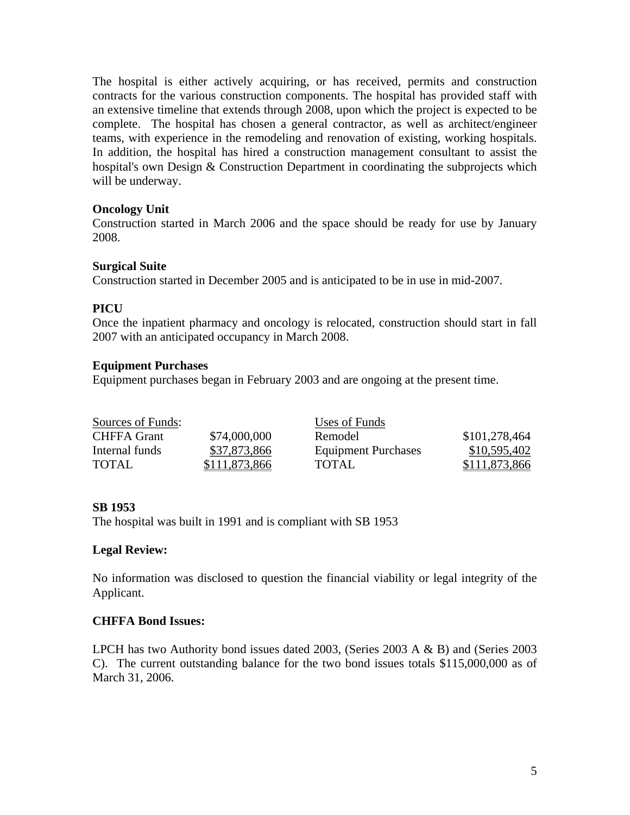The hospital is either actively acquiring, or has received, permits and construction contracts for the various construction components. The hospital has provided staff with an extensive timeline that extends through 2008, upon which the project is expected to be complete. The hospital has chosen a general contractor, as well as architect/engineer teams, with experience in the remodeling and renovation of existing, working hospitals. In addition, the hospital has hired a construction management consultant to assist the hospital's own Design & Construction Department in coordinating the subprojects which will be underway.

## **Oncology Unit**

Construction started in March 2006 and the space should be ready for use by January 2008.

## **Surgical Suite**

Construction started in December 2005 and is anticipated to be in use in mid-2007.

# **PICU**

Once the inpatient pharmacy and oncology is relocated, construction should start in fall 2007 with an anticipated occupancy in March 2008.

### **Equipment Purchases**

Equipment purchases began in February 2003 and are ongoing at the present time.

| Sources of Funds:  |               | Uses of Funds              |               |
|--------------------|---------------|----------------------------|---------------|
| <b>CHFFA</b> Grant | \$74,000,000  | Remodel                    | \$101,278,464 |
| Internal funds     | \$37,873,866  | <b>Equipment Purchases</b> | \$10,595,402  |
| <b>TOTAL</b>       | \$111,873,866 | TOTAL                      | \$111,873,866 |

### **SB 1953**

The hospital was built in 1991 and is compliant with SB 1953

### **Legal Review:**

No information was disclosed to question the financial viability or legal integrity of the Applicant.

### **CHFFA Bond Issues:**

LPCH has two Authority bond issues dated 2003, (Series 2003 A & B) and (Series 2003 C). The current outstanding balance for the two bond issues totals \$115,000,000 as of March 31, 2006.